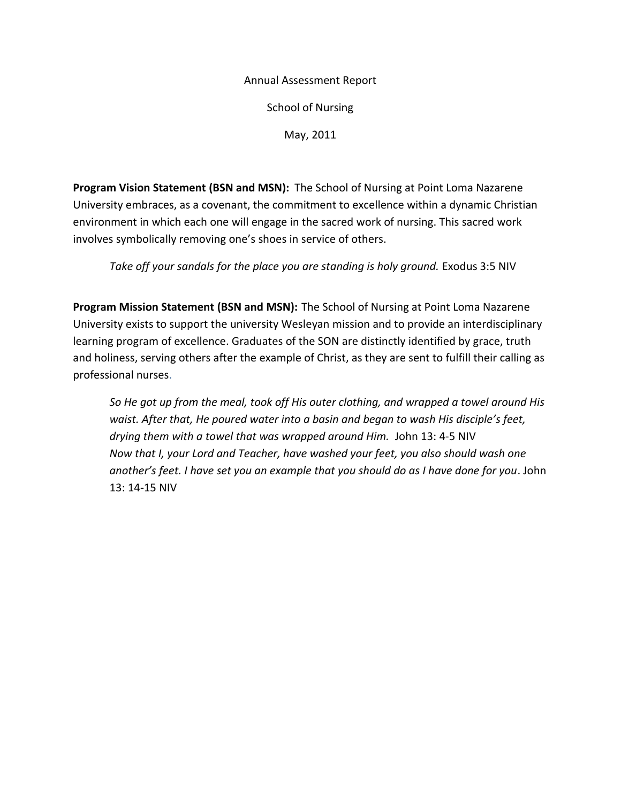### Annual Assessment Report

School of Nursing

May, 2011

**Program Vision Statement (BSN and MSN):** The School of Nursing at Point Loma Nazarene University embraces, as a covenant, the commitment to excellence within a dynamic Christian environment in which each one will engage in the sacred work of nursing. This sacred work involves symbolically removing one's shoes in service of others.

Take off your sandals for the place you are standing is holy ground. Exodus 3:5 NIV

**Program Mission Statement (BSN and MSN):** The School of Nursing at Point Loma Nazarene University exists to support the university Wesleyan mission and to provide an interdisciplinary learning program of excellence. Graduates of the SON are distinctly identified by grace, truth and holiness, serving others after the example of Christ, as they are sent to fulfill their calling as professional nurses.

*So He got up from the meal, took off His outer clothing, and wrapped a towel around His waist. After that, He poured water into a basin and began to wash His disciple's feet, drying them with a towel that was wrapped around Him.* John 13: 4-5 NIV *Now that I, your Lord and Teacher, have washed your feet, you also should wash one another's feet. I have set you an example that you should do as I have done for you*. John 13: 14-15 NIV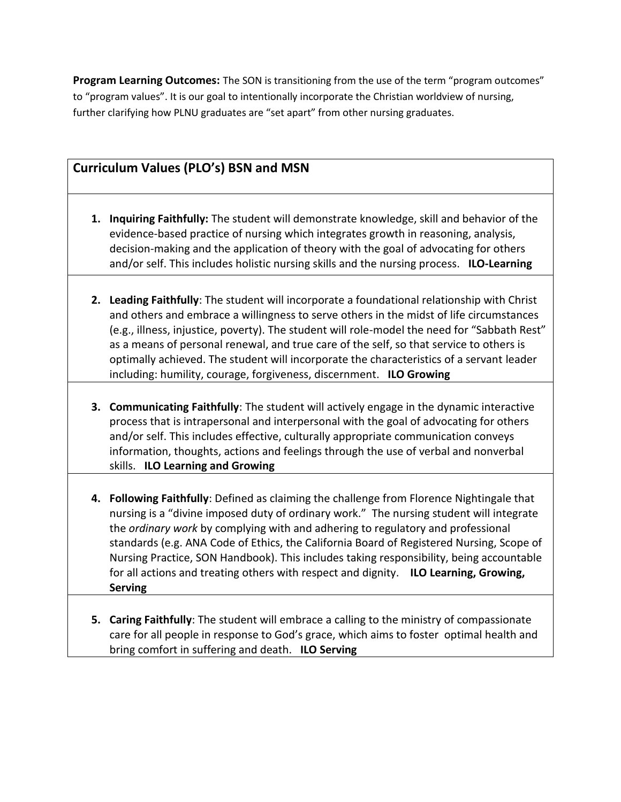**Program Learning Outcomes:** The SON is transitioning from the use of the term "program outcomes" to "program values". It is our goal to intentionally incorporate the Christian worldview of nursing, further clarifying how PLNU graduates are "set apart" from other nursing graduates.

# **Curriculum Values (PLO's) BSN and MSN**

- **1. Inquiring Faithfully:** The student will demonstrate knowledge, skill and behavior of the evidence-based practice of nursing which integrates growth in reasoning, analysis, decision-making and the application of theory with the goal of advocating for others and/or self. This includes holistic nursing skills and the nursing process. **ILO-Learning**
- **2. Leading Faithfully**: The student will incorporate a foundational relationship with Christ and others and embrace a willingness to serve others in the midst of life circumstances (e.g., illness, injustice, poverty). The student will role-model the need for "Sabbath Rest" as a means of personal renewal, and true care of the self, so that service to others is optimally achieved. The student will incorporate the characteristics of a servant leader including: humility, courage, forgiveness, discernment. **ILO Growing**
- **3. Communicating Faithfully**: The student will actively engage in the dynamic interactive process that is intrapersonal and interpersonal with the goal of advocating for others and/or self. This includes effective, culturally appropriate communication conveys information, thoughts, actions and feelings through the use of verbal and nonverbal skills. **ILO Learning and Growing**
- **4. Following Faithfully**: Defined as claiming the challenge from Florence Nightingale that nursing is a "divine imposed duty of ordinary work." The nursing student will integrate the *ordinary work* by complying with and adhering to regulatory and professional standards (e.g. ANA Code of Ethics, the California Board of Registered Nursing, Scope of Nursing Practice, SON Handbook). This includes taking responsibility, being accountable for all actions and treating others with respect and dignity. **ILO Learning, Growing, Serving**
- **5. Caring Faithfully**: The student will embrace a calling to the ministry of compassionate care for all people in response to God's grace, which aims to foster optimal health and bring comfort in suffering and death. **ILO Serving**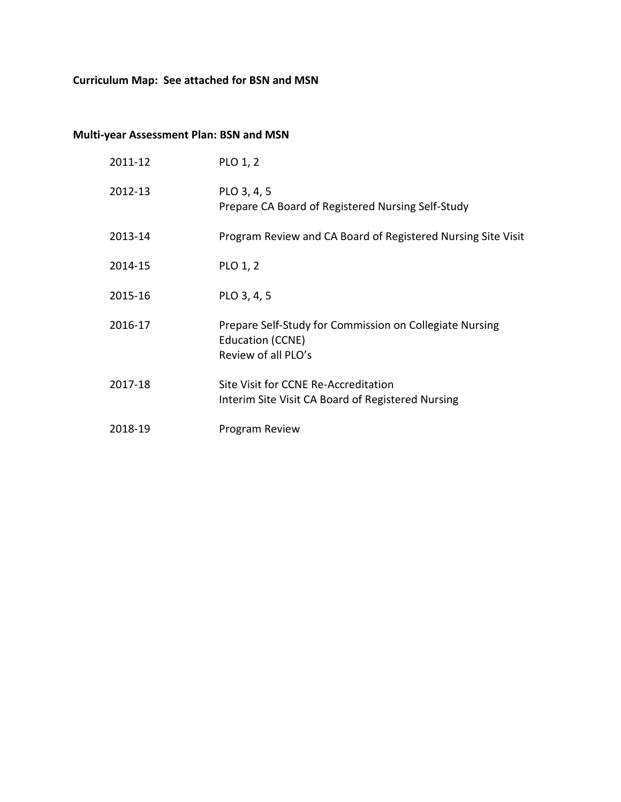# **Curriculum Map: See attached for BSN and MSN**

# **Multi-year Assessment Plan: BSN and MSN**

| 2011-12 | PLO 1, 2                                                                                           |
|---------|----------------------------------------------------------------------------------------------------|
| 2012-13 | PLO 3, 4, 5<br>Prepare CA Board of Registered Nursing Self-Study                                   |
| 2013-14 | Program Review and CA Board of Registered Nursing Site Visit                                       |
| 2014-15 | PLO 1, 2                                                                                           |
| 2015-16 | PLO 3, 4, 5                                                                                        |
| 2016-17 | Prepare Self-Study for Commission on Collegiate Nursing<br>Education (CCNE)<br>Review of all PLO's |
| 2017-18 | Site Visit for CCNE Re-Accreditation<br>Interim Site Visit CA Board of Registered Nursing          |
| 2018-19 | Program Review                                                                                     |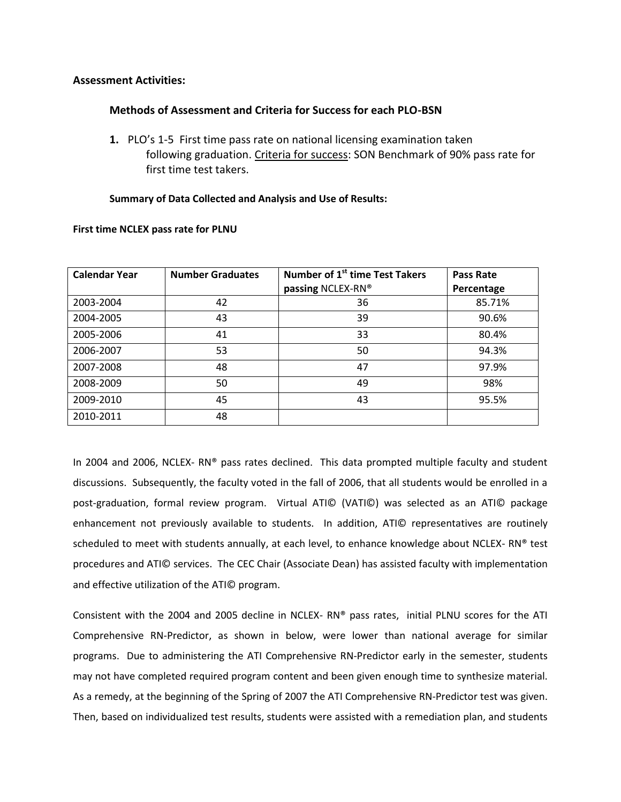### **Assessment Activities:**

### **Methods of Assessment and Criteria for Success for each PLO-BSN**

**1.** PLO's 1-5 First time pass rate on national licensing examination taken following graduation. Criteria for success: SON Benchmark of 90% pass rate for first time test takers.

#### **Summary of Data Collected and Analysis and Use of Results:**

| <b>Calendar Year</b> | <b>Number Graduates</b> | Number of 1 <sup>st</sup> time Test Takers | <b>Pass Rate</b> |
|----------------------|-------------------------|--------------------------------------------|------------------|
|                      |                         | passing NCLEX-RN®                          | Percentage       |
| 2003-2004            | 42                      | 36                                         | 85.71%           |
| 2004-2005            | 43                      | 39                                         | 90.6%            |
| 2005-2006            | 41                      | 33                                         | 80.4%            |
| 2006-2007            | 53                      | 50                                         | 94.3%            |
| 2007-2008            | 48                      | 47                                         | 97.9%            |
| 2008-2009            | 50                      | 49                                         | 98%              |
| 2009-2010            | 45                      | 43                                         | 95.5%            |
| 2010-2011            | 48                      |                                            |                  |

#### **First time NCLEX pass rate for PLNU**

In 2004 and 2006, NCLEX-RN® pass rates declined. This data prompted multiple faculty and student discussions. Subsequently, the faculty voted in the fall of 2006, that all students would be enrolled in a post-graduation, formal review program. Virtual ATI© (VATI©) was selected as an ATI© package enhancement not previously available to students. In addition, ATI© representatives are routinely scheduled to meet with students annually, at each level, to enhance knowledge about NCLEX- RN® test procedures and ATI© services. The CEC Chair (Associate Dean) has assisted faculty with implementation and effective utilization of the ATI© program.

Consistent with the 2004 and 2005 decline in NCLEX- RN® pass rates, initial PLNU scores for the ATI Comprehensive RN-Predictor, as shown in below, were lower than national average for similar programs. Due to administering the ATI Comprehensive RN-Predictor early in the semester, students may not have completed required program content and been given enough time to synthesize material. As a remedy, at the beginning of the Spring of 2007 the ATI Comprehensive RN-Predictor test was given. Then, based on individualized test results, students were assisted with a remediation plan, and students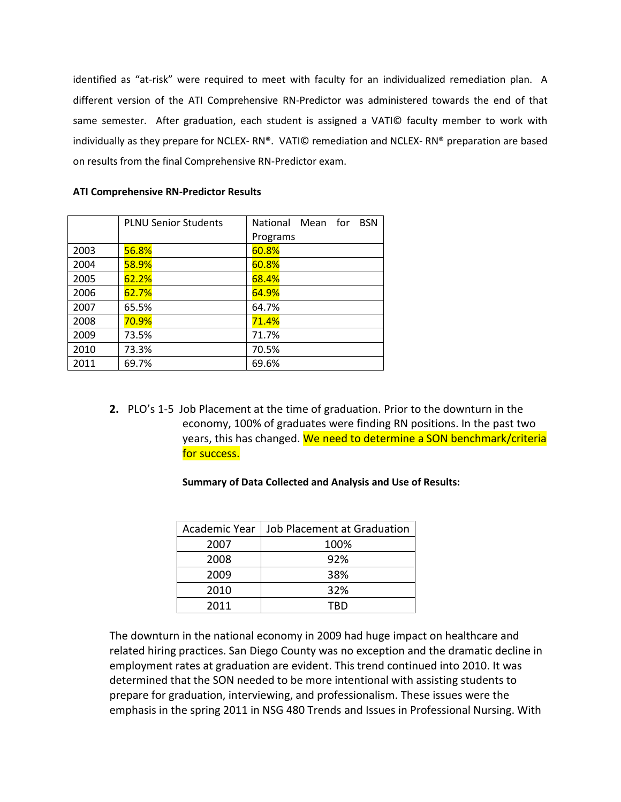identified as "at-risk" were required to meet with faculty for an individualized remediation plan. A different version of the ATI Comprehensive RN-Predictor was administered towards the end of that same semester. After graduation, each student is assigned a VATI© faculty member to work with individually as they prepare for NCLEX- RN®. VATI© remediation and NCLEX- RN® preparation are based on results from the final Comprehensive RN-Predictor exam.

|      | <b>PLNU Senior Students</b> | Mean for<br><b>BSN</b><br><b>National</b> |
|------|-----------------------------|-------------------------------------------|
|      |                             | Programs                                  |
| 2003 | 56.8%                       | 60.8%                                     |
| 2004 | 58.9%                       | 60.8%                                     |
| 2005 | 62.2%                       | 68.4%                                     |
| 2006 | 62.7%                       | 64.9%                                     |
| 2007 | 65.5%                       | 64.7%                                     |
| 2008 | 70.9%                       | 71.4%                                     |
| 2009 | 73.5%                       | 71.7%                                     |
| 2010 | 73.3%                       | 70.5%                                     |
| 2011 | 69.7%                       | 69.6%                                     |

#### **ATI Comprehensive RN-Predictor Results**

**2.** PLO's 1-5 Job Placement at the time of graduation. Prior to the downturn in the economy, 100% of graduates were finding RN positions. In the past two years, this has changed. We need to determine a SON benchmark/criteria for success.

| Academic Year | Job Placement at Graduation |  |
|---------------|-----------------------------|--|
| 2007          | 100%                        |  |
| 2008          | 92%                         |  |
| 2009          | 38%                         |  |
| 2010          | 32%                         |  |
| 2011          | TRD                         |  |

**Summary of Data Collected and Analysis and Use of Results:**

The downturn in the national economy in 2009 had huge impact on healthcare and related hiring practices. San Diego County was no exception and the dramatic decline in employment rates at graduation are evident. This trend continued into 2010. It was determined that the SON needed to be more intentional with assisting students to prepare for graduation, interviewing, and professionalism. These issues were the emphasis in the spring 2011 in NSG 480 Trends and Issues in Professional Nursing. With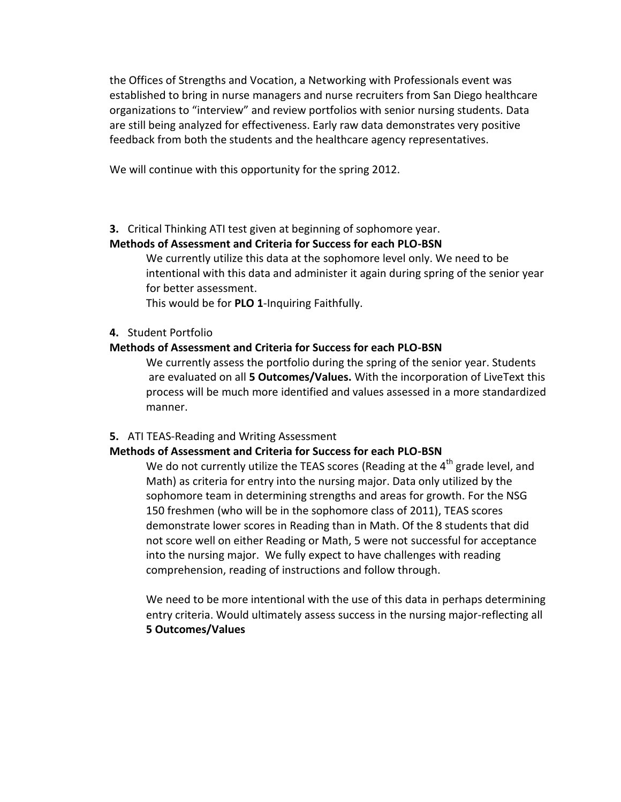the Offices of Strengths and Vocation, a Networking with Professionals event was established to bring in nurse managers and nurse recruiters from San Diego healthcare organizations to "interview" and review portfolios with senior nursing students. Data are still being analyzed for effectiveness. Early raw data demonstrates very positive feedback from both the students and the healthcare agency representatives.

We will continue with this opportunity for the spring 2012.

**3.** Critical Thinking ATI test given at beginning of sophomore year.

## **Methods of Assessment and Criteria for Success for each PLO-BSN**

We currently utilize this data at the sophomore level only. We need to be intentional with this data and administer it again during spring of the senior year for better assessment.

This would be for **PLO 1**-Inquiring Faithfully.

## **4.** Student Portfolio

## **Methods of Assessment and Criteria for Success for each PLO-BSN**

We currently assess the portfolio during the spring of the senior year. Students are evaluated on all **5 Outcomes/Values.** With the incorporation of LiveText this process will be much more identified and values assessed in a more standardized manner.

### **5.** ATI TEAS-Reading and Writing Assessment

### **Methods of Assessment and Criteria for Success for each PLO-BSN**

We do not currently utilize the TEAS scores (Reading at the  $4<sup>th</sup>$  grade level, and Math) as criteria for entry into the nursing major. Data only utilized by the sophomore team in determining strengths and areas for growth. For the NSG 150 freshmen (who will be in the sophomore class of 2011), TEAS scores demonstrate lower scores in Reading than in Math. Of the 8 students that did not score well on either Reading or Math, 5 were not successful for acceptance into the nursing major. We fully expect to have challenges with reading comprehension, reading of instructions and follow through.

We need to be more intentional with the use of this data in perhaps determining entry criteria. Would ultimately assess success in the nursing major-reflecting all **5 Outcomes/Values**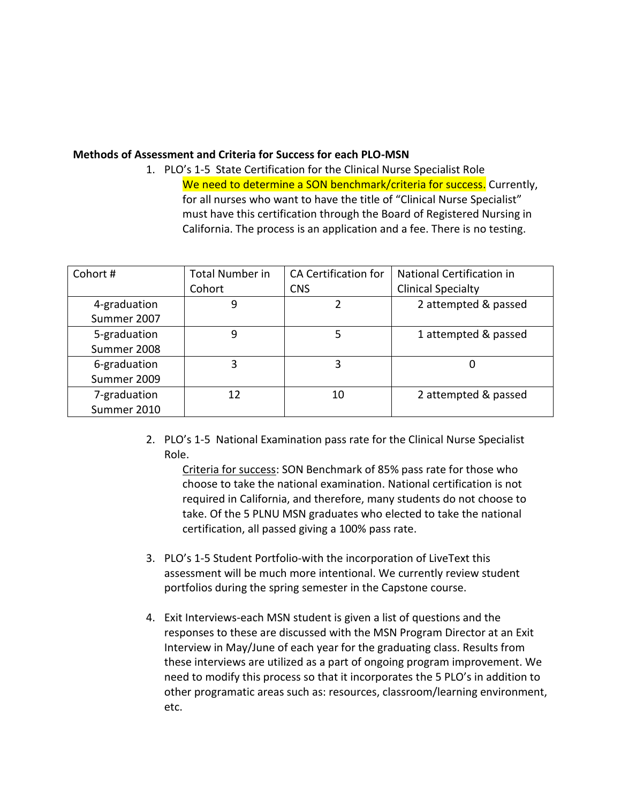### **Methods of Assessment and Criteria for Success for each PLO-MSN**

1. PLO's 1-5 State Certification for the Clinical Nurse Specialist Role We need to determine a SON benchmark/criteria for success. Currently, for all nurses who want to have the title of "Clinical Nurse Specialist" must have this certification through the Board of Registered Nursing in California. The process is an application and a fee. There is no testing.

| Cohort#      | <b>Total Number in</b> | CA Certification for | National Certification in |
|--------------|------------------------|----------------------|---------------------------|
|              | Cohort                 | <b>CNS</b>           | <b>Clinical Specialty</b> |
| 4-graduation | 9                      |                      | 2 attempted & passed      |
| Summer 2007  |                        |                      |                           |
| 5-graduation | 9                      | 5                    | 1 attempted & passed      |
| Summer 2008  |                        |                      |                           |
| 6-graduation | 3                      | 3                    | O                         |
| Summer 2009  |                        |                      |                           |
| 7-graduation | 12                     | 10                   | 2 attempted & passed      |
| Summer 2010  |                        |                      |                           |

2. PLO's 1-5 National Examination pass rate for the Clinical Nurse Specialist Role.

Criteria for success: SON Benchmark of 85% pass rate for those who choose to take the national examination. National certification is not required in California, and therefore, many students do not choose to take. Of the 5 PLNU MSN graduates who elected to take the national certification, all passed giving a 100% pass rate.

- 3. PLO's 1-5 Student Portfolio-with the incorporation of LiveText this assessment will be much more intentional. We currently review student portfolios during the spring semester in the Capstone course.
- 4. Exit Interviews-each MSN student is given a list of questions and the responses to these are discussed with the MSN Program Director at an Exit Interview in May/June of each year for the graduating class. Results from these interviews are utilized as a part of ongoing program improvement. We need to modify this process so that it incorporates the 5 PLO's in addition to other programatic areas such as: resources, classroom/learning environment, etc.